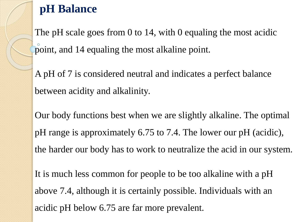# **pH Balance**

The pH scale goes from 0 to 14, with 0 equaling the most acidic point, and 14 equaling the most alkaline point.

A pH of 7 is considered neutral and indicates a perfect balance between acidity and alkalinity.

Our body functions best when we are slightly alkaline. The optimal pH range is approximately 6.75 to 7.4. The lower our pH (acidic), the harder our body has to work to neutralize the acid in our system.

It is much less common for people to be too alkaline with a pH above 7.4, although it is certainly possible. Individuals with an acidic pH below 6.75 are far more prevalent.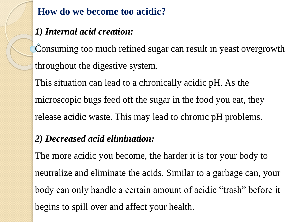### **How do we become too acidic?**

### *1) Internal acid creation:*

Consuming too much refined sugar can result in yeast overgrowth throughout the digestive system.

This situation can lead to a chronically acidic pH. As the microscopic bugs feed off the sugar in the food you eat, they release acidic waste. This may lead to chronic pH problems.

#### *2) Decreased acid elimination:*

The more acidic you become, the harder it is for your body to neutralize and eliminate the acids. Similar to a garbage can, your body can only handle a certain amount of acidic "trash" before it begins to spill over and affect your health.